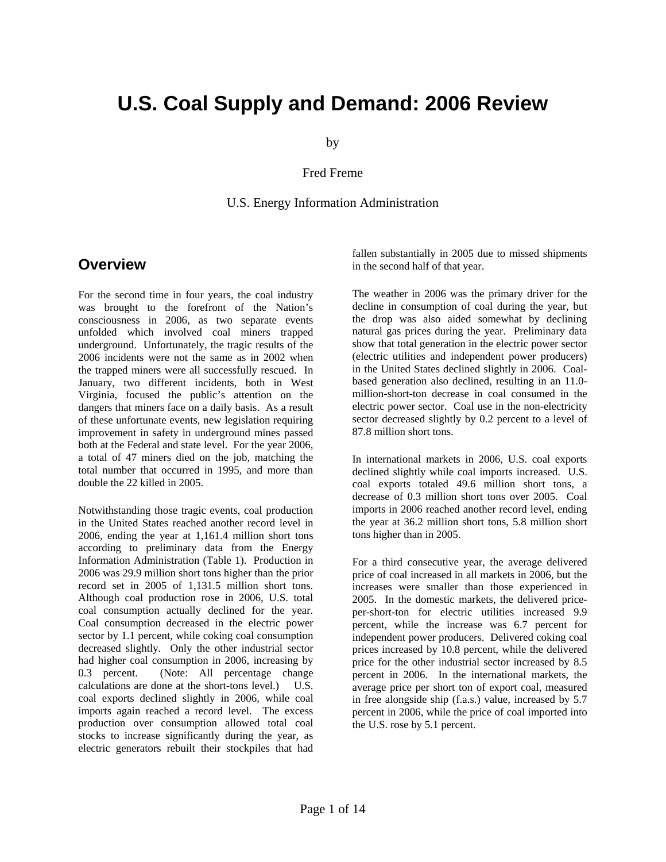# **U.S. Coal Supply and Demand: 2006 Review**

by

#### Fred Freme

U.S. Energy Information Administration

### **Overview**

For the second time in four years, the coal industry was brought to the forefront of the Nation's consciousness in 2006, as two separate events unfolded which involved coal miners trapped underground. Unfortunately, the tragic results of the 2006 incidents were not the same as in 2002 when the trapped miners were all successfully rescued. In January, two different incidents, both in West Virginia, focused the public's attention on the dangers that miners face on a daily basis. As a result of these unfortunate events, new legislation requiring improvement in safety in underground mines passed both at the Federal and state level. For the year 2006, a total of 47 miners died on the job, matching the total number that occurred in 1995, and more than double the 22 killed in 2005.

Notwithstanding those tragic events, coal production in the United States reached another record level in 2006, ending the year at 1,161.4 million short tons according to preliminary data from the Energy Information Administration (Table 1). Production in 2006 was 29.9 million short tons higher than the prior record set in 2005 of 1,131.5 million short tons. Although coal production rose in 2006, U.S. total coal consumption actually declined for the year. Coal consumption decreased in the electric power sector by 1.1 percent, while coking coal consumption decreased slightly. Only the other industrial sector had higher coal consumption in 2006, increasing by 0.3 percent. (Note: All percentage change calculations are done at the short-tons level.) U.S. coal exports declined slightly in 2006, while coal imports again reached a record level. The excess production over consumption allowed total coal stocks to increase significantly during the year, as electric generators rebuilt their stockpiles that had

fallen substantially in 2005 due to missed shipments in the second half of that year.

The weather in 2006 was the primary driver for the decline in consumption of coal during the year, but the drop was also aided somewhat by declining natural gas prices during the year. Preliminary data show that total generation in the electric power sector (electric utilities and independent power producers) in the United States declined slightly in 2006. Coalbased generation also declined, resulting in an 11.0 million-short-ton decrease in coal consumed in the electric power sector. Coal use in the non-electricity sector decreased slightly by 0.2 percent to a level of 87.8 million short tons.

In international markets in 2006, U.S. coal exports declined slightly while coal imports increased. U.S. coal exports totaled 49.6 million short tons, a decrease of 0.3 million short tons over 2005. Coal imports in 2006 reached another record level, ending the year at 36.2 million short tons, 5.8 million short tons higher than in 2005.

For a third consecutive year, the average delivered price of coal increased in all markets in 2006, but the increases were smaller than those experienced in 2005. In the domestic markets, the delivered priceper-short-ton for electric utilities increased 9.9 percent, while the increase was 6.7 percent for independent power producers. Delivered coking coal prices increased by 10.8 percent, while the delivered price for the other industrial sector increased by 8.5 percent in 2006. In the international markets, the average price per short ton of export coal, measured in free alongside ship (f.a.s.) value, increased by 5.7 percent in 2006, while the price of coal imported into the U.S. rose by 5.1 percent.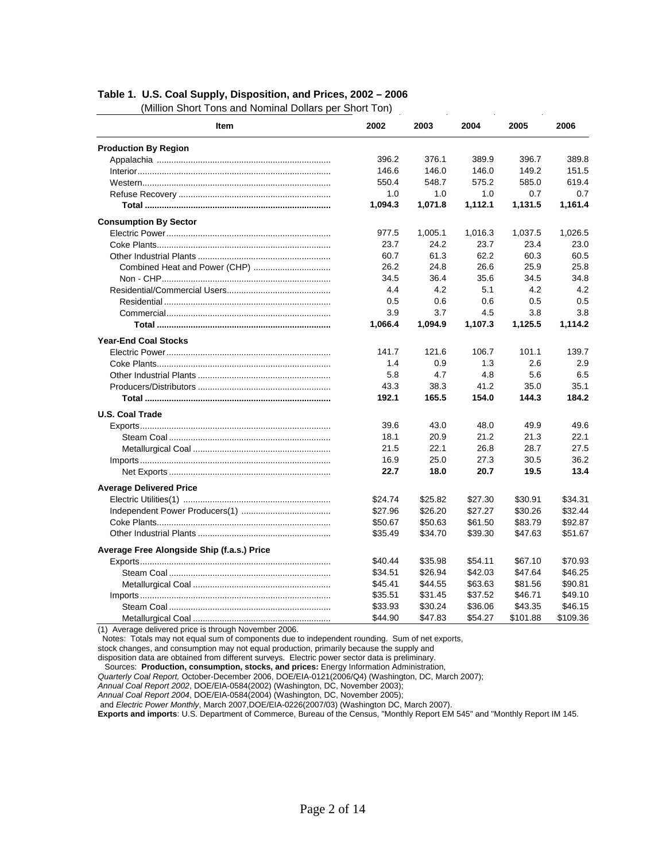| Table 1. U.S. Coal Supply, Disposition, and Prices, 2002 – 2006 |  |  |  |  |  |  |
|-----------------------------------------------------------------|--|--|--|--|--|--|
|-----------------------------------------------------------------|--|--|--|--|--|--|

(Million Short Tons and Nominal Dollars per Short Ton)

| <b>Item</b>                                | 2002    | 2003    | 2004    | 2005     | 2006     |
|--------------------------------------------|---------|---------|---------|----------|----------|
| <b>Production By Region</b>                |         |         |         |          |          |
|                                            | 396.2   | 376.1   | 389.9   | 396.7    | 389.8    |
|                                            | 146.6   | 146.0   | 146.0   | 149.2    | 151.5    |
|                                            | 550.4   | 548.7   | 575.2   | 585.0    | 619.4    |
|                                            | 1.0     | 1.0     | 1.0     | 0.7      | 0.7      |
|                                            | 1,094.3 | 1,071.8 | 1,112.1 | 1,131.5  | 1,161.4  |
| <b>Consumption By Sector</b>               |         |         |         |          |          |
|                                            | 977.5   | 1,005.1 | 1,016.3 | 1,037.5  | 1,026.5  |
|                                            | 23.7    | 24.2    | 23.7    | 23.4     | 23.0     |
|                                            | 60.7    | 61.3    | 62.2    | 60.3     | 60.5     |
|                                            | 26.2    | 24.8    | 26.6    | 25.9     | 25.8     |
|                                            | 34.5    | 36.4    | 35.6    | 34.5     | 34.8     |
|                                            | 4.4     | 4.2     | 5.1     | 4.2      | 4.2      |
|                                            | 0.5     | 0.6     | 0.6     | 0.5      | 0.5      |
|                                            | 3.9     | 3.7     | 4.5     | 3.8      | 3.8      |
|                                            | 1,066.4 | 1,094.9 | 1,107.3 | 1,125.5  | 1,114.2  |
| <b>Year-End Coal Stocks</b>                |         |         |         |          |          |
|                                            | 141.7   | 121.6   | 106.7   | 101.1    | 139.7    |
|                                            | 1.4     | 0.9     | 1.3     | 2.6      | 2.9      |
|                                            | 5.8     | 4.7     | 4.8     | 5.6      | 6.5      |
|                                            | 43.3    | 38.3    | 41.2    | 35.0     | 35.1     |
|                                            | 192.1   | 165.5   | 154.0   | 144.3    | 184.2    |
| <b>U.S. Coal Trade</b>                     |         |         |         |          |          |
|                                            | 39.6    | 43.0    | 48.0    | 49.9     | 49.6     |
|                                            | 18.1    | 20.9    | 21.2    | 21.3     | 22.1     |
|                                            | 21.5    | 22.1    | 26.8    | 28.7     | 27.5     |
|                                            | 16.9    | 25.0    | 27.3    | 30.5     | 36.2     |
|                                            | 22.7    | 18.0    | 20.7    | 19.5     | 13.4     |
| <b>Average Delivered Price</b>             |         |         |         |          |          |
|                                            | \$24.74 | \$25.82 | \$27.30 | \$30.91  | \$34.31  |
|                                            | \$27.96 | \$26.20 | \$27.27 | \$30.26  | \$32.44  |
|                                            | \$50.67 | \$50.63 | \$61.50 | \$83.79  | \$92.87  |
|                                            | \$35.49 | \$34.70 | \$39.30 | \$47.63  | \$51.67  |
| Average Free Alongside Ship (f.a.s.) Price |         |         |         |          |          |
|                                            | \$40.44 | \$35.98 | \$54.11 | \$67.10  | \$70.93  |
|                                            | \$34.51 | \$26.94 | \$42.03 | \$47.64  | \$46.25  |
|                                            | \$45.41 | \$44.55 | \$63.63 | \$81.56  | \$90.81  |
|                                            | \$35.51 | \$31.45 | \$37.52 | \$46.71  | \$49.10  |
|                                            | \$33.93 | \$30.24 | \$36.06 | \$43.35  | \$46.15  |
|                                            | \$44.90 | \$47.83 | \$54.27 | \$101.88 | \$109.36 |

(1) Average delivered price is through November 2006.

Notes: Totals may not equal sum of components due to independent rounding. Sum of net exports,

stock changes, and consumption may not equal production, primarily because the supply and

disposition data are obtained from different surveys. Electric power sector data is preliminary.

Sources: **Production, consumption, stocks, and prices:** Energy Information Administration,

*Quarterly Coal Report,* October-December 2006, DOE/EIA-0121(2006/Q4) (Washington, DC, March 2007);

*Annual Coal Report 2002*, DOE/EIA-0584(2002) (Washington, DC, November 2003);

*Annual Coal Report 2004*, DOE/EIA-0584(2004) (Washington, DC, November 2005);

and *Electric Power Monthly*, March 2007,DOE/EIA-0226(2007/03) (Washington DC, March 2007).

**Exports and imports**: U.S. Department of Commerce, Bureau of the Census, "Monthly Report EM 545" and "Monthly Report IM 145.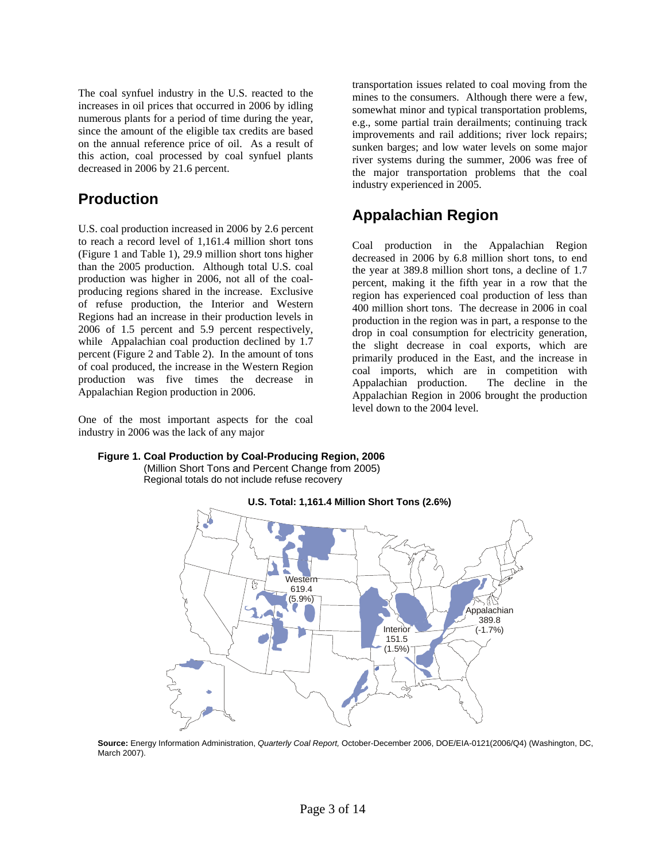The coal synfuel industry in the U.S. reacted to the increases in oil prices that occurred in 2006 by idling numerous plants for a period of time during the year, since the amount of the eligible tax credits are based on the annual reference price of oil. As a result of this action, coal processed by coal synfuel plants decreased in 2006 by 21.6 percent.

## **Production**

U.S. coal production increased in 2006 by 2.6 percent to reach a record level of 1,161.4 million short tons (Figure 1 and Table 1), 29.9 million short tons higher than the 2005 production. Although total U.S. coal production was higher in 2006, not all of the coalproducing regions shared in the increase. Exclusive of refuse production, the Interior and Western Regions had an increase in their production levels in 2006 of 1.5 percent and 5.9 percent respectively, while Appalachian coal production declined by 1.7 percent (Figure 2 and Table 2). In the amount of tons of coal produced, the increase in the Western Region production was five times the decrease in Appalachian Region production in 2006.

One of the most important aspects for the coal industry in 2006 was the lack of any major

transportation issues related to coal moving from the mines to the consumers. Although there were a few, somewhat minor and typical transportation problems, e.g., some partial train derailments; continuing track improvements and rail additions; river lock repairs; sunken barges; and low water levels on some major river systems during the summer, 2006 was free of the major transportation problems that the coal industry experienced in 2005.

# **Appalachian Region**

Coal production in the Appalachian Region decreased in 2006 by 6.8 million short tons, to end the year at 389.8 million short tons, a decline of 1.7 percent, making it the fifth year in a row that the region has experienced coal production of less than 400 million short tons. The decrease in 2006 in coal production in the region was in part, a response to the drop in coal consumption for electricity generation, the slight decrease in coal exports, which are primarily produced in the East, and the increase in coal imports, which are in competition with Appalachian production. The decline in the Appalachian Region in 2006 brought the production level down to the 2004 level.

#### **Figure 1. Coal Production by Coal-Producing Region, 2006** (Million Short Tons and Percent Change from 2005)

Regional totals do not include refuse recovery



**Source:** Energy Information Administration, *Quarterly Coal Report,* October-December 2006, DOE/EIA-0121(2006/Q4) (Washington, DC, March 2007).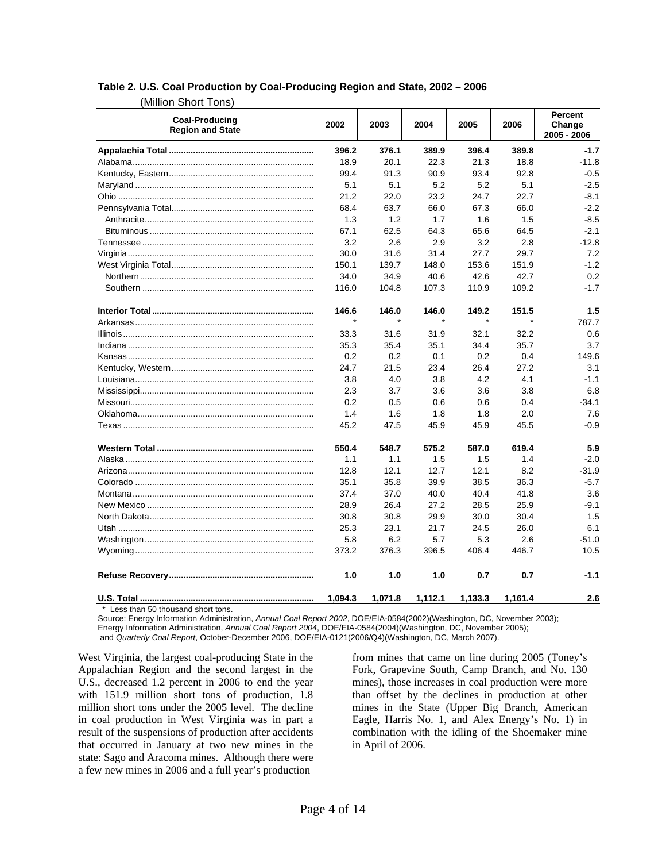|  |  |  | Table 2. U.S. Coal Production by Coal-Producing Region and State, 2002 - 2006 |
|--|--|--|-------------------------------------------------------------------------------|
|--|--|--|-------------------------------------------------------------------------------|

(Million Short Tons)

| <b>Coal-Producing</b><br><b>Region and State</b> | 2002    | 2003    | 2004    | 2005    | 2006    | <b>Percent</b><br>Change<br>2005 - 2006 |
|--------------------------------------------------|---------|---------|---------|---------|---------|-----------------------------------------|
|                                                  | 396.2   | 376.1   | 389.9   | 396.4   | 389.8   | $-1.7$                                  |
|                                                  | 18.9    | 20.1    | 22.3    | 21.3    | 18.8    | $-11.8$                                 |
|                                                  | 99.4    | 91.3    | 90.9    | 93.4    | 92.8    | $-0.5$                                  |
|                                                  | 5.1     | 5.1     | 5.2     | 5.2     | 5.1     | $-2.5$                                  |
|                                                  | 21.2    | 22.0    | 23.2    | 24.7    | 22.7    | $-8.1$                                  |
|                                                  | 68.4    | 63.7    | 66.0    | 67.3    | 66.0    | $-2.2$                                  |
|                                                  | 1.3     | 1.2     | 1.7     | 1.6     | 1.5     | $-8.5$                                  |
|                                                  | 67.1    | 62.5    | 64.3    | 65.6    | 64.5    | $-2.1$                                  |
|                                                  | 3.2     | 2.6     | 2.9     | 3.2     | 2.8     | $-12.8$                                 |
|                                                  | 30.0    | 31.6    | 31.4    | 27.7    | 29.7    | 7.2                                     |
|                                                  | 150.1   | 139.7   | 148.0   | 153.6   | 151.9   | $-1.2$                                  |
|                                                  | 34.0    | 34.9    | 40.6    | 42.6    | 42.7    | 0.2                                     |
|                                                  | 116.0   | 104.8   | 107.3   | 110.9   | 109.2   | $-1.7$                                  |
|                                                  | 146.6   | 146.0   | 146.0   | 149.2   | 151.5   | 1.5                                     |
|                                                  | $\star$ | $\star$ | $\star$ | $\star$ | $\star$ | 787.7                                   |
|                                                  | 33.3    | 31.6    | 31.9    | 32.1    | 32.2    | 0.6                                     |
|                                                  | 35.3    | 35.4    | 35.1    | 34.4    | 35.7    | 3.7                                     |
|                                                  | 0.2     | 0.2     | 0.1     | 0.2     | 0.4     | 149.6                                   |
|                                                  | 24.7    | 21.5    | 23.4    | 26.4    | 27.2    | 3.1                                     |
|                                                  | 3.8     | 4.0     | 3.8     | 4.2     | 4.1     | $-1.1$                                  |
|                                                  | 2.3     | 3.7     | 3.6     | 3.6     | 3.8     | 6.8                                     |
|                                                  | 0.2     | 0.5     | 0.6     | 0.6     | 0.4     | $-34.1$                                 |
|                                                  | 1.4     | 1.6     | 1.8     | 1.8     | 2.0     | 7.6                                     |
|                                                  | 45.2    | 47.5    | 45.9    | 45.9    | 45.5    | $-0.9$                                  |
|                                                  | 550.4   | 548.7   | 575.2   | 587.0   | 619.4   | 5.9                                     |
|                                                  | 1.1     | 1.1     | 1.5     | 1.5     | 1.4     | $-2.0$                                  |
|                                                  | 12.8    | 12.1    | 12.7    | 12.1    | 8.2     | $-31.9$                                 |
|                                                  | 35.1    | 35.8    | 39.9    | 38.5    | 36.3    | $-5.7$                                  |
|                                                  | 37.4    | 37.0    | 40.0    | 40.4    | 41.8    | 3.6                                     |
|                                                  | 28.9    | 26.4    | 27.2    | 28.5    | 25.9    | $-9.1$                                  |
|                                                  | 30.8    | 30.8    | 29.9    | 30.0    | 30.4    | 1.5                                     |
|                                                  | 25.3    | 23.1    | 21.7    | 24.5    | 26.0    | 6.1                                     |
|                                                  | 5.8     | 6.2     | 5.7     | 5.3     | 2.6     | $-51.0$                                 |
|                                                  | 373.2   | 376.3   | 396.5   | 406.4   | 446.7   | 10.5                                    |
|                                                  | 1.0     | 1.0     | 1.0     | 0.7     | 0.7     | $-1.1$                                  |
|                                                  | 1,094.3 | 1,071.8 | 1,112.1 | 1,133.3 | 1,161.4 | 2.6                                     |

\* Less than 50 thousand short tons.

Source: Energy Information Administration, *Annual Coal Report 2002*, DOE/EIA-0584(2002)(Washington, DC, November 2003);

Energy Information Administration, *Annual Coal Report 2004*, DOE/EIA-0584(2004)(Washington, DC, November 2005);

and *Quarterly Coal Report*, October-December 2006, DOE/EIA-0121(2006/Q4)(Washington, DC, March 2007).

West Virginia, the largest coal-producing State in the Appalachian Region and the second largest in the U.S., decreased 1.2 percent in 2006 to end the year with 151.9 million short tons of production, 1.8 million short tons under the 2005 level. The decline in coal production in West Virginia was in part a result of the suspensions of production after accidents that occurred in January at two new mines in the state: Sago and Aracoma mines. Although there were a few new mines in 2006 and a full year's production

from mines that came on line during 2005 (Toney's Fork, Grapevine South, Camp Branch, and No. 130 mines), those increases in coal production were more than offset by the declines in production at other mines in the State (Upper Big Branch, American Eagle, Harris No. 1, and Alex Energy's No. 1) in combination with the idling of the Shoemaker mine in April of 2006.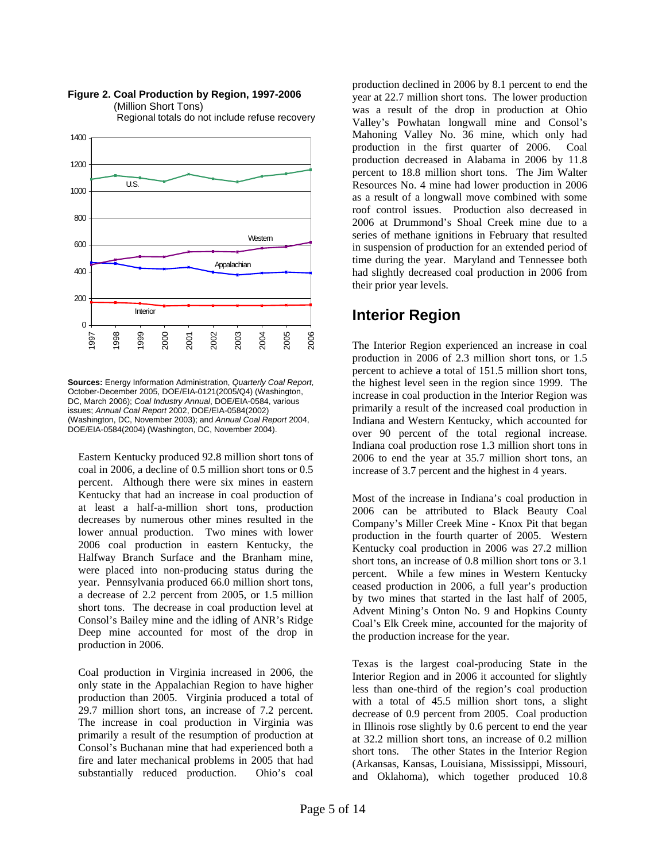

#### **Figure 2. Coal Production by Region, 1997-2006** (Million Short Tons)

Regional totals do not include refuse recovery

**Sources:** Energy Information Administration, *Quarterly Coal Report*, October-December 2005, DOE/EIA-0121(2005/Q4) (Washington, DC, March 2006); *Coal Industry Annual*, DOE/EIA-0584, various issues; *Annual Coal Report* 2002, DOE/EIA-0584(2002) (Washington, DC, November 2003); and *Annual Coal Report* 2004, DOE/EIA-0584(2004) (Washington, DC, November 2004).

Eastern Kentucky produced 92.8 million short tons of coal in 2006, a decline of 0.5 million short tons or 0.5 percent. Although there were six mines in eastern Kentucky that had an increase in coal production of at least a half-a-million short tons, production decreases by numerous other mines resulted in the lower annual production. Two mines with lower 2006 coal production in eastern Kentucky, the Halfway Branch Surface and the Branham mine, were placed into non-producing status during the year. Pennsylvania produced 66.0 million short tons, a decrease of 2.2 percent from 2005, or 1.5 million short tons. The decrease in coal production level at Consol's Bailey mine and the idling of ANR's Ridge Deep mine accounted for most of the drop in production in 2006.

Coal production in Virginia increased in 2006, the only state in the Appalachian Region to have higher production than 2005. Virginia produced a total of 29.7 million short tons, an increase of 7.2 percent. The increase in coal production in Virginia was primarily a result of the resumption of production at Consol's Buchanan mine that had experienced both a fire and later mechanical problems in 2005 that had substantially reduced production. Ohio's coal production declined in 2006 by 8.1 percent to end the year at 22.7 million short tons. The lower production was a result of the drop in production at Ohio Valley's Powhatan longwall mine and Consol's Mahoning Valley No. 36 mine, which only had production in the first quarter of 2006. Coal production decreased in Alabama in 2006 by 11.8 percent to 18.8 million short tons. The Jim Walter Resources No. 4 mine had lower production in 2006 as a result of a longwall move combined with some roof control issues. Production also decreased in 2006 at Drummond's Shoal Creek mine due to a series of methane ignitions in February that resulted in suspension of production for an extended period of time during the year. Maryland and Tennessee both had slightly decreased coal production in 2006 from their prior year levels.

# **Interior Region**

The Interior Region experienced an increase in coal production in 2006 of 2.3 million short tons, or 1.5 percent to achieve a total of 151.5 million short tons, the highest level seen in the region since 1999. The increase in coal production in the Interior Region was primarily a result of the increased coal production in Indiana and Western Kentucky, which accounted for over 90 percent of the total regional increase. Indiana coal production rose 1.3 million short tons in 2006 to end the year at 35.7 million short tons, an increase of 3.7 percent and the highest in 4 years.

Most of the increase in Indiana's coal production in 2006 can be attributed to Black Beauty Coal Company's Miller Creek Mine - Knox Pit that began production in the fourth quarter of 2005. Western Kentucky coal production in 2006 was 27.2 million short tons, an increase of 0.8 million short tons or 3.1 percent. While a few mines in Western Kentucky ceased production in 2006, a full year's production by two mines that started in the last half of 2005, Advent Mining's Onton No. 9 and Hopkins County Coal's Elk Creek mine, accounted for the majority of the production increase for the year.

Texas is the largest coal-producing State in the Interior Region and in 2006 it accounted for slightly less than one-third of the region's coal production with a total of 45.5 million short tons, a slight decrease of 0.9 percent from 2005. Coal production in Illinois rose slightly by 0.6 percent to end the year at 32.2 million short tons, an increase of 0.2 million short tons. The other States in the Interior Region (Arkansas, Kansas, Louisiana, Mississippi, Missouri, and Oklahoma), which together produced 10.8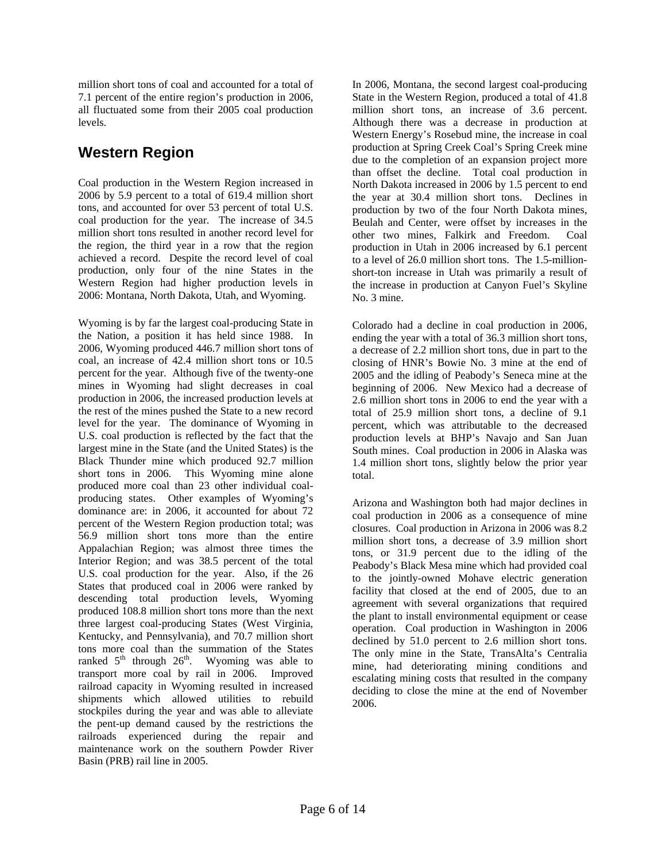million short tons of coal and accounted for a total of 7.1 percent of the entire region's production in 2006, all fluctuated some from their 2005 coal production levels.

# **Western Region**

Coal production in the Western Region increased in 2006 by 5.9 percent to a total of 619.4 million short tons, and accounted for over 53 percent of total U.S. coal production for the year. The increase of 34.5 million short tons resulted in another record level for the region, the third year in a row that the region achieved a record. Despite the record level of coal production, only four of the nine States in the Western Region had higher production levels in 2006: Montana, North Dakota, Utah, and Wyoming.

Wyoming is by far the largest coal-producing State in the Nation, a position it has held since 1988. In 2006, Wyoming produced 446.7 million short tons of coal, an increase of 42.4 million short tons or 10.5 percent for the year. Although five of the twenty-one mines in Wyoming had slight decreases in coal production in 2006, the increased production levels at the rest of the mines pushed the State to a new record level for the year. The dominance of Wyoming in U.S. coal production is reflected by the fact that the largest mine in the State (and the United States) is the Black Thunder mine which produced 92.7 million short tons in 2006. This Wyoming mine alone produced more coal than 23 other individual coalproducing states. Other examples of Wyoming's dominance are: in 2006, it accounted for about 72 percent of the Western Region production total; was 56.9 million short tons more than the entire Appalachian Region; was almost three times the Interior Region; and was 38.5 percent of the total U.S. coal production for the year. Also, if the 26 States that produced coal in 2006 were ranked by descending total production levels, Wyoming produced 108.8 million short tons more than the next three largest coal-producing States (West Virginia, Kentucky, and Pennsylvania), and 70.7 million short tons more coal than the summation of the States ranked  $5<sup>th</sup>$  through  $26<sup>th</sup>$ . Wyoming was able to transport more coal by rail in 2006. Improved railroad capacity in Wyoming resulted in increased shipments which allowed utilities to rebuild stockpiles during the year and was able to alleviate the pent-up demand caused by the restrictions the railroads experienced during the repair and maintenance work on the southern Powder River Basin (PRB) rail line in 2005.

In 2006, Montana, the second largest coal-producing State in the Western Region, produced a total of 41.8 million short tons, an increase of 3.6 percent. Although there was a decrease in production at Western Energy's Rosebud mine, the increase in coal production at Spring Creek Coal's Spring Creek mine due to the completion of an expansion project more than offset the decline. Total coal production in North Dakota increased in 2006 by 1.5 percent to end the year at 30.4 million short tons. Declines in production by two of the four North Dakota mines, Beulah and Center, were offset by increases in the other two mines, Falkirk and Freedom. Coal production in Utah in 2006 increased by 6.1 percent to a level of 26.0 million short tons. The 1.5-millionshort-ton increase in Utah was primarily a result of the increase in production at Canyon Fuel's Skyline No. 3 mine.

Colorado had a decline in coal production in 2006, ending the year with a total of 36.3 million short tons, a decrease of 2.2 million short tons, due in part to the closing of HNR's Bowie No. 3 mine at the end of 2005 and the idling of Peabody's Seneca mine at the beginning of 2006. New Mexico had a decrease of 2.6 million short tons in 2006 to end the year with a total of 25.9 million short tons, a decline of 9.1 percent, which was attributable to the decreased production levels at BHP's Navajo and San Juan South mines. Coal production in 2006 in Alaska was 1.4 million short tons, slightly below the prior year total.

Arizona and Washington both had major declines in coal production in 2006 as a consequence of mine closures. Coal production in Arizona in 2006 was 8.2 million short tons, a decrease of 3.9 million short tons, or 31.9 percent due to the idling of the Peabody's Black Mesa mine which had provided coal to the jointly-owned Mohave electric generation facility that closed at the end of 2005, due to an agreement with several organizations that required the plant to install environmental equipment or cease operation. Coal production in Washington in 2006 declined by 51.0 percent to 2.6 million short tons. The only mine in the State, TransAlta's Centralia mine, had deteriorating mining conditions and escalating mining costs that resulted in the company deciding to close the mine at the end of November 2006.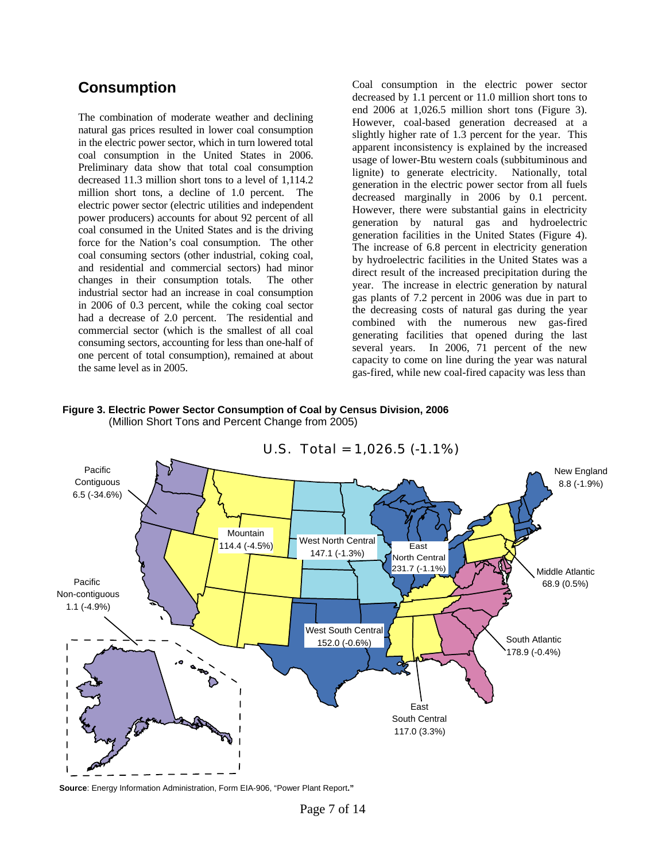### **Consumption**

The combination of moderate weather and declining natural gas prices resulted in lower coal consumption in the electric power sector, which in turn lowered total coal consumption in the United States in 2006. Preliminary data show that total coal consumption decreased 11.3 million short tons to a level of 1,114.2 million short tons, a decline of 1.0 percent. The electric power sector (electric utilities and independent power producers) accounts for about 92 percent of all coal consumed in the United States and is the driving force for the Nation's coal consumption. The other coal consuming sectors (other industrial, coking coal, and residential and commercial sectors) had minor changes in their consumption totals. The other industrial sector had an increase in coal consumption in 2006 of 0.3 percent, while the coking coal sector had a decrease of 2.0 percent. The residential and commercial sector (which is the smallest of all coal consuming sectors, accounting for less than one-half of one percent of total consumption), remained at about the same level as in 2005.

Coal consumption in the electric power sector decreased by 1.1 percent or 11.0 million short tons to end 2006 at 1,026.5 million short tons (Figure 3). However, coal-based generation decreased at a slightly higher rate of 1.3 percent for the year. This apparent inconsistency is explained by the increased usage of lower-Btu western coals (subbituminous and lignite) to generate electricity. Nationally, total generation in the electric power sector from all fuels decreased marginally in 2006 by 0.1 percent. However, there were substantial gains in electricity generation by natural gas and hydroelectric generation facilities in the United States (Figure 4). The increase of 6.8 percent in electricity generation by hydroelectric facilities in the United States was a direct result of the increased precipitation during the year. The increase in electric generation by natural gas plants of 7.2 percent in 2006 was due in part to the decreasing costs of natural gas during the year combined with the numerous new gas-fired generating facilities that opened during the last several years. In 2006, 71 percent of the new capacity to come on line during the year was natural gas-fired, while new coal-fired capacity was less than





**Source**: Energy Information Administration, Form EIA-906, "Power Plant Report**."**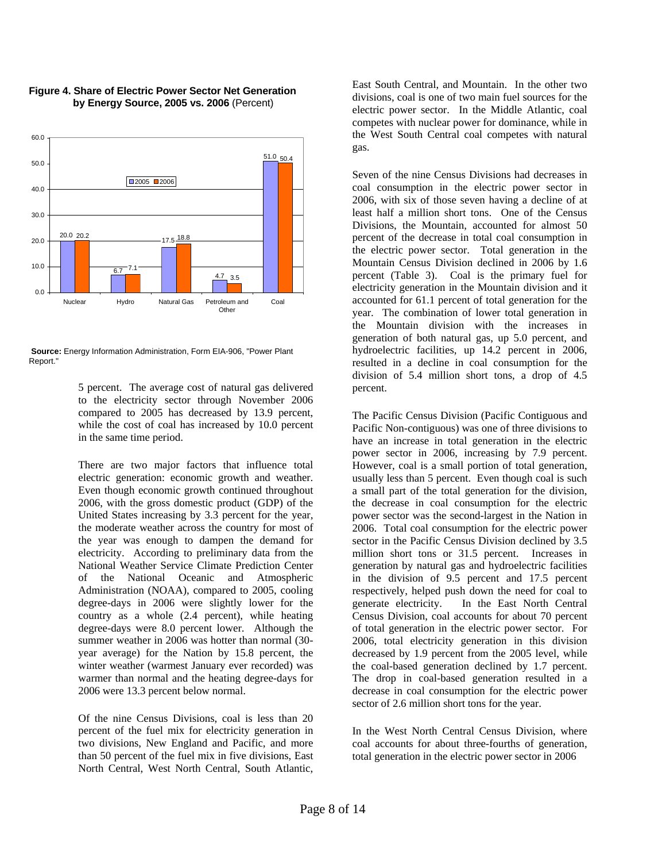

#### **Figure 4. Share of Electric Power Sector Net Generation by Energy Source, 2005 vs. 2006** (Percent)

**Source:** Energy Information Administration, Form EIA-906, "Power Plant Report."

5 percent. The average cost of natural gas delivered to the electricity sector through November 2006 compared to 2005 has decreased by 13.9 percent, while the cost of coal has increased by 10.0 percent in the same time period.

There are two major factors that influence total electric generation: economic growth and weather. Even though economic growth continued throughout 2006, with the gross domestic product (GDP) of the United States increasing by 3.3 percent for the year, the moderate weather across the country for most of the year was enough to dampen the demand for electricity. According to preliminary data from the National Weather Service Climate Prediction Center of the National Oceanic and Atmospheric Administration (NOAA), compared to 2005, cooling degree-days in 2006 were slightly lower for the country as a whole (2.4 percent), while heating degree-days were 8.0 percent lower. Although the summer weather in 2006 was hotter than normal (30 year average) for the Nation by 15.8 percent, the winter weather (warmest January ever recorded) was warmer than normal and the heating degree-days for 2006 were 13.3 percent below normal.

Of the nine Census Divisions, coal is less than 20 percent of the fuel mix for electricity generation in two divisions, New England and Pacific, and more than 50 percent of the fuel mix in five divisions, East North Central, West North Central, South Atlantic, East South Central, and Mountain. In the other two divisions, coal is one of two main fuel sources for the electric power sector. In the Middle Atlantic, coal competes with nuclear power for dominance, while in the West South Central coal competes with natural gas.

Seven of the nine Census Divisions had decreases in coal consumption in the electric power sector in 2006, with six of those seven having a decline of at least half a million short tons. One of the Census Divisions, the Mountain, accounted for almost 50 percent of the decrease in total coal consumption in the electric power sector. Total generation in the Mountain Census Division declined in 2006 by 1.6 percent (Table 3). Coal is the primary fuel for electricity generation in the Mountain division and it accounted for 61.1 percent of total generation for the year. The combination of lower total generation in the Mountain division with the increases in generation of both natural gas, up 5.0 percent, and hydroelectric facilities, up 14.2 percent in 2006, resulted in a decline in coal consumption for the division of 5.4 million short tons, a drop of 4.5 percent.

The Pacific Census Division (Pacific Contiguous and Pacific Non-contiguous) was one of three divisions to have an increase in total generation in the electric power sector in 2006, increasing by 7.9 percent. However, coal is a small portion of total generation, usually less than 5 percent. Even though coal is such a small part of the total generation for the division, the decrease in coal consumption for the electric power sector was the second-largest in the Nation in 2006. Total coal consumption for the electric power sector in the Pacific Census Division declined by 3.5 million short tons or 31.5 percent. Increases in generation by natural gas and hydroelectric facilities in the division of 9.5 percent and 17.5 percent respectively, helped push down the need for coal to generate electricity. In the East North Central Census Division, coal accounts for about 70 percent of total generation in the electric power sector. For 2006, total electricity generation in this division decreased by 1.9 percent from the 2005 level, while the coal-based generation declined by 1.7 percent. The drop in coal-based generation resulted in a decrease in coal consumption for the electric power sector of 2.6 million short tons for the year.

In the West North Central Census Division, where coal accounts for about three-fourths of generation, total generation in the electric power sector in 2006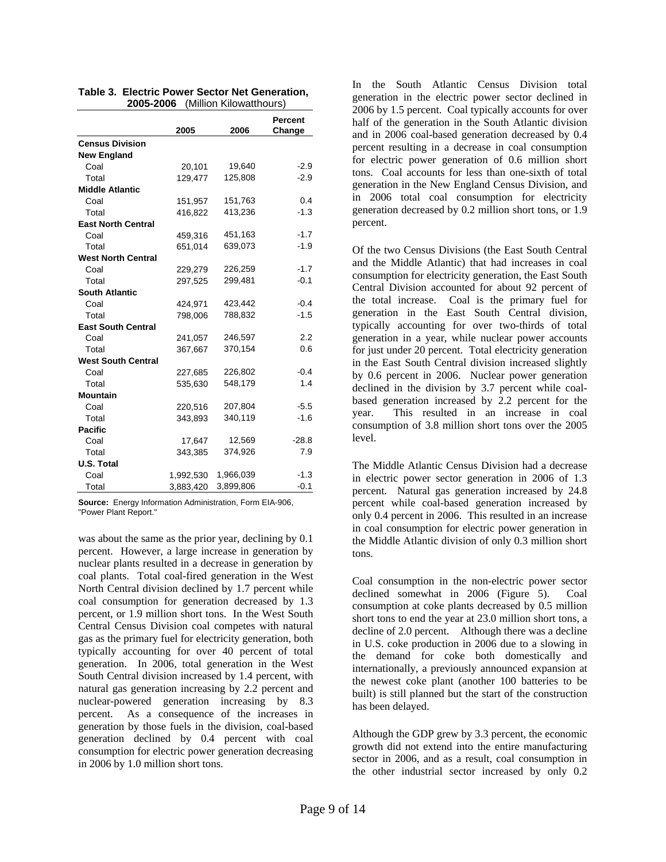|                           | 2005      | 2006      | Percent<br>Change |
|---------------------------|-----------|-----------|-------------------|
| <b>Census Division</b>    |           |           |                   |
| <b>New England</b>        |           |           |                   |
| Coal                      | 20,101    | 19,640    | $-2.9$            |
| Total                     | 129.477   | 125,808   | $-2.9$            |
| <b>Middle Atlantic</b>    |           |           |                   |
| Coal                      | 151,957   | 151,763   | 0.4               |
| Total                     | 416,822   | 413,236   | $-1.3$            |
| <b>East North Central</b> |           |           |                   |
| Coal                      | 459,316   | 451,163   | $-1.7$            |
| Total                     | 651,014   | 639,073   | $-1.9$            |
| <b>West North Central</b> |           |           |                   |
| Coal                      | 229,279   | 226,259   | $-1.7$            |
| Total                     | 297,525   | 299,481   | $-0.1$            |
| <b>South Atlantic</b>     |           |           |                   |
| Coal                      | 424,971   | 423,442   | $-0.4$            |
| Total                     | 798.006   | 788,832   | $-1.5$            |
| <b>East South Central</b> |           |           |                   |
| Coal                      | 241,057   | 246,597   | 2.2               |
| Total                     | 367,667   | 370,154   | 0.6               |
| <b>West South Central</b> |           |           |                   |
| Coal                      | 227,685   | 226,802   | $-0.4$            |
| Total                     | 535,630   | 548,179   | 1.4               |
| <b>Mountain</b>           |           |           |                   |
| Coal                      | 220,516   | 207,804   | $-5.5$            |
| Total                     | 343,893   | 340,119   | $-1.6$            |
| <b>Pacific</b>            |           |           |                   |
| Coal                      | 17.647    | 12,569    | $-28.8$           |
| Total                     | 343,385   | 374,926   | 7.9               |
| <b>U.S. Total</b>         |           |           |                   |
| Coal                      | 1,992,530 | 1,966,039 | $-1.3$            |
| Total                     | 3,883,420 | 3,899,806 | $-0.1$            |

| Table 3. Electric Power Sector Net Generation, |                                   |  |  |  |
|------------------------------------------------|-----------------------------------|--|--|--|
|                                                | 2005-2006 (Million Kilowatthours) |  |  |  |

**Source:** Energy Information Administration, Form EIA-906, "Power Plant Report."

was about the same as the prior year, declining by 0.1 percent. However, a large increase in generation by nuclear plants resulted in a decrease in generation by coal plants. Total coal-fired generation in the West North Central division declined by 1.7 percent while coal consumption for generation decreased by 1.3 percent, or 1.9 million short tons. In the West South Central Census Division coal competes with natural gas as the primary fuel for electricity generation, both typically accounting for over 40 percent of total generation. In 2006, total generation in the West South Central division increased by 1.4 percent, with natural gas generation increasing by 2.2 percent and nuclear-powered generation increasing by 8.3 percent. As a consequence of the increases in generation by those fuels in the division, coal-based generation declined by 0.4 percent with coal consumption for electric power generation decreasing in 2006 by 1.0 million short tons.

In the South Atlantic Census Division total generation in the electric power sector declined in 2006 by 1.5 percent. Coal typically accounts for over half of the generation in the South Atlantic division and in 2006 coal-based generation decreased by 0.4 percent resulting in a decrease in coal consumption for electric power generation of 0.6 million short tons. Coal accounts for less than one-sixth of total generation in the New England Census Division, and in 2006 total coal consumption for electricity generation decreased by 0.2 million short tons, or 1.9 percent.

Of the two Census Divisions (the East South Central and the Middle Atlantic) that had increases in coal consumption for electricity generation, the East South Central Division accounted for about 92 percent of the total increase. Coal is the primary fuel for generation in the East South Central division, typically accounting for over two-thirds of total generation in a year, while nuclear power accounts for just under 20 percent. Total electricity generation in the East South Central division increased slightly by 0.6 percent in 2006. Nuclear power generation declined in the division by 3.7 percent while coalbased generation increased by 2.2 percent for the year. This resulted in an increase in coal consumption of 3.8 million short tons over the 2005 level.

The Middle Atlantic Census Division had a decrease in electric power sector generation in 2006 of 1.3 percent. Natural gas generation increased by 24.8 percent while coal-based generation increased by only 0.4 percent in 2006. This resulted in an increase in coal consumption for electric power generation in the Middle Atlantic division of only 0.3 million short tons.

Coal consumption in the non-electric power sector declined somewhat in 2006 (Figure 5). Coal consumption at coke plants decreased by 0.5 million short tons to end the year at 23.0 million short tons, a decline of 2.0 percent. Although there was a decline in U.S. coke production in 2006 due to a slowing in the demand for coke both domestically and internationally, a previously announced expansion at the newest coke plant (another 100 batteries to be built) is still planned but the start of the construction has been delayed.

Although the GDP grew by 3.3 percent, the economic growth did not extend into the entire manufacturing sector in 2006, and as a result, coal consumption in the other industrial sector increased by only 0.2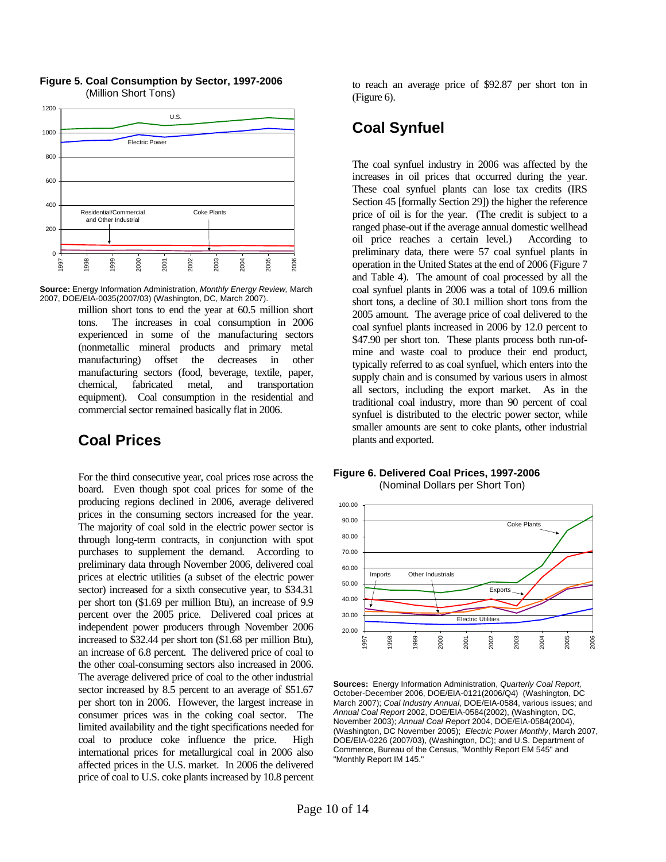

#### **Figure 5. Coal Consumption by Sector, 1997-2006** (Million Short Tons)

**Source:** Energy Information Administration, *Monthly Energy Review,* March 2007, DOE/EIA-0035(2007/03) (Washington, DC, March 2007).

million short tons to end the year at 60.5 million short tons. The increases in coal consumption in 2006 experienced in some of the manufacturing sectors (nonmetallic mineral products and primary metal manufacturing) offset the decreases in other manufacturing sectors (food, beverage, textile, paper, chemical, fabricated metal, and transportation equipment). Coal consumption in the residential and commercial sector remained basically flat in 2006.

### **Coal Prices**

For the third consecutive year, coal prices rose across the board. Even though spot coal prices for some of the producing regions declined in 2006, average delivered prices in the consuming sectors increased for the year. The majority of coal sold in the electric power sector is through long-term contracts, in conjunction with spot purchases to supplement the demand. According to preliminary data through November 2006, delivered coal prices at electric utilities (a subset of the electric power sector) increased for a sixth consecutive year, to \$34.31 per short ton (\$1.69 per million Btu), an increase of 9.9 percent over the 2005 price. Delivered coal prices at independent power producers through November 2006 increased to \$32.44 per short ton (\$1.68 per million Btu), an increase of 6.8 percent. The delivered price of coal to the other coal-consuming sectors also increased in 2006. The average delivered price of coal to the other industrial sector increased by 8.5 percent to an average of \$51.67 per short ton in 2006. However, the largest increase in consumer prices was in the coking coal sector. The limited availability and the tight specifications needed for coal to produce coke influence the price. High international prices for metallurgical coal in 2006 also affected prices in the U.S. market. In 2006 the delivered price of coal to U.S. coke plants increased by 10.8 percent to reach an average price of \$92.87 per short ton in (Figure 6).

# **Coal Synfuel**

The coal synfuel industry in 2006 was affected by the increases in oil prices that occurred during the year. These coal synfuel plants can lose tax credits (IRS Section 45 [formally Section 29]) the higher the reference price of oil is for the year. (The credit is subject to a ranged phase-out if the average annual domestic wellhead<br>oil price reaches a certain level.) According to oil price reaches a certain level.) preliminary data, there were 57 coal synfuel plants in operation in the United States at the end of 2006 (Figure 7 and Table 4). The amount of coal processed by all the coal synfuel plants in 2006 was a total of 109.6 million short tons, a decline of 30.1 million short tons from the 2005 amount. The average price of coal delivered to the coal synfuel plants increased in 2006 by 12.0 percent to \$47.90 per short ton. These plants process both run-ofmine and waste coal to produce their end product, typically referred to as coal synfuel, which enters into the supply chain and is consumed by various users in almost all sectors, including the export market. As in the traditional coal industry, more than 90 percent of coal synfuel is distributed to the electric power sector, while smaller amounts are sent to coke plants, other industrial plants and exported.

**Figure 6. Delivered Coal Prices, 1997-2006**  (Nominal Dollars per Short Ton)



**Sources:** Energy Information Administration, *Quarterly Coal Report,*  October-December 2006, DOE/EIA-0121(2006/Q4) (Washington, DC March 2007); *Coal Industry Annual*, DOE/EIA-0584, various issues; and *Annual Coal Report* 2002, DOE/EIA-0584(2002), (Washington, DC, November 2003); *Annual Coal Report* 2004, DOE/EIA-0584(2004), (Washington, DC November 2005); *Electric Power Monthly*, March 2007, DOE/EIA-0226 (2007/03), (Washington, DC); and U.S. Department of Commerce, Bureau of the Census, "Monthly Report EM 545" and "Monthly Report IM 145."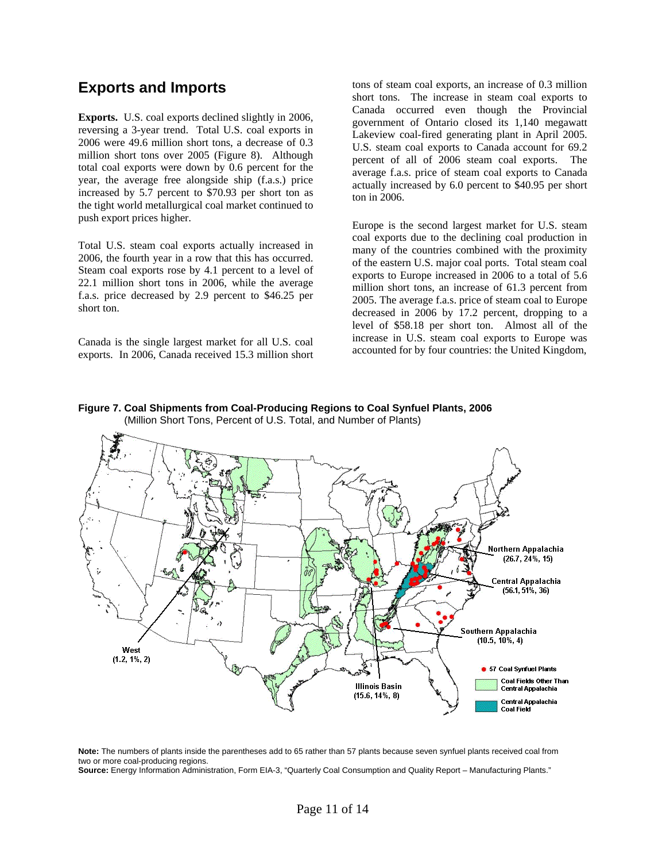### **Exports and Imports**

**Exports.** U.S. coal exports declined slightly in 2006, reversing a 3-year trend. Total U.S. coal exports in 2006 were 49.6 million short tons, a decrease of 0.3 million short tons over 2005 (Figure 8). Although total coal exports were down by 0.6 percent for the year, the average free alongside ship (f.a.s.) price increased by 5.7 percent to \$70.93 per short ton as the tight world metallurgical coal market continued to push export prices higher.

Total U.S. steam coal exports actually increased in 2006, the fourth year in a row that this has occurred. Steam coal exports rose by 4.1 percent to a level of 22.1 million short tons in 2006, while the average f.a.s. price decreased by 2.9 percent to \$46.25 per short ton.

Canada is the single largest market for all U.S. coal exports. In 2006, Canada received 15.3 million short tons of steam coal exports, an increase of 0.3 million short tons. The increase in steam coal exports to Canada occurred even though the Provincial government of Ontario closed its 1,140 megawatt Lakeview coal-fired generating plant in April 2005. U.S. steam coal exports to Canada account for 69.2 percent of all of 2006 steam coal exports. The average f.a.s. price of steam coal exports to Canada actually increased by 6.0 percent to \$40.95 per short ton in 2006.

Europe is the second largest market for U.S. steam coal exports due to the declining coal production in many of the countries combined with the proximity of the eastern U.S. major coal ports. Total steam coal exports to Europe increased in 2006 to a total of 5.6 million short tons, an increase of 61.3 percent from 2005. The average f.a.s. price of steam coal to Europe decreased in 2006 by 17.2 percent, dropping to a level of \$58.18 per short ton. Almost all of the increase in U.S. steam coal exports to Europe was accounted for by four countries: the United Kingdom,



**Figure 7. Coal Shipments from Coal-Producing Regions to Coal Synfuel Plants, 2006** (Million Short Tons, Percent of U.S. Total, and Number of Plants)

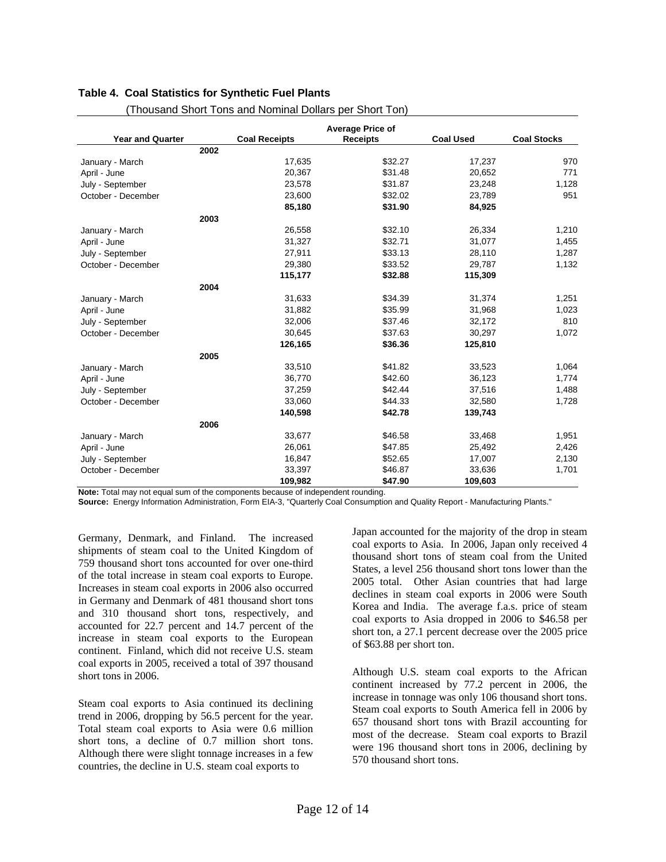|                         |                      | <b>Average Price of</b> |                  |                    |
|-------------------------|----------------------|-------------------------|------------------|--------------------|
| <b>Year and Quarter</b> | <b>Coal Receipts</b> | <b>Receipts</b>         | <b>Coal Used</b> | <b>Coal Stocks</b> |
|                         | 2002                 |                         |                  |                    |
| January - March         | 17,635               | \$32.27                 | 17,237           | 970                |
| April - June            | 20,367               | \$31.48                 | 20,652           | 771                |
| July - September        | 23,578               | \$31.87                 | 23,248           | 1,128              |
| October - December      | 23,600               | \$32.02                 | 23,789           | 951                |
|                         | 85,180               | \$31.90                 | 84,925           |                    |
|                         | 2003                 |                         |                  |                    |
| January - March         | 26,558               | \$32.10                 | 26,334           | 1,210              |
| April - June            | 31,327               | \$32.71                 | 31,077           | 1,455              |
| July - September        | 27,911               | \$33.13                 | 28,110           | 1,287              |
| October - December      | 29,380               | \$33.52                 | 29,787           | 1,132              |
|                         | 115,177              | \$32.88                 | 115,309          |                    |
|                         | 2004                 |                         |                  |                    |
| January - March         | 31,633               | \$34.39                 | 31,374           | 1,251              |
| April - June            | 31,882               | \$35.99                 | 31,968           | 1,023              |
| July - September        | 32,006               | \$37.46                 | 32,172           | 810                |
| October - December      | 30,645               | \$37.63                 | 30,297           | 1,072              |
|                         | 126,165              | \$36.36                 | 125,810          |                    |
|                         | 2005                 |                         |                  |                    |
| January - March         | 33,510               | \$41.82                 | 33,523           | 1,064              |
| April - June            | 36,770               | \$42.60                 | 36,123           | 1,774              |
| July - September        | 37,259               | \$42.44                 | 37,516           | 1,488              |
| October - December      | 33,060               | \$44.33                 | 32,580           | 1,728              |
|                         | 140,598              | \$42.78                 | 139,743          |                    |
|                         | 2006                 |                         |                  |                    |
| January - March         | 33,677               | \$46.58                 | 33,468           | 1,951              |
| April - June            | 26,061               | \$47.85                 | 25,492           | 2,426              |
| July - September        | 16,847               | \$52.65                 | 17,007           | 2,130              |
| October - December      | 33,397               | \$46.87                 | 33,636           | 1,701              |
|                         | 109,982              | \$47.90                 | 109,603          |                    |

#### **Table 4. Coal Statistics for Synthetic Fuel Plants**

(Thousand Short Tons and Nominal Dollars per Short Ton)

**Note:** Total may not equal sum of the components because of independent rounding.

**Source:** Energy Information Administration, Form EIA-3, "Quarterly Coal Consumption and Quality Report - Manufacturing Plants."

Germany, Denmark, and Finland. The increased shipments of steam coal to the United Kingdom of 759 thousand short tons accounted for over one-third of the total increase in steam coal exports to Europe. Increases in steam coal exports in 2006 also occurred in Germany and Denmark of 481 thousand short tons and 310 thousand short tons, respectively, and accounted for 22.7 percent and 14.7 percent of the increase in steam coal exports to the European continent. Finland, which did not receive U.S. steam coal exports in 2005, received a total of 397 thousand short tons in 2006.

Steam coal exports to Asia continued its declining trend in 2006, dropping by 56.5 percent for the year. Total steam coal exports to Asia were 0.6 million short tons, a decline of 0.7 million short tons. Although there were slight tonnage increases in a few countries, the decline in U.S. steam coal exports to

Japan accounted for the majority of the drop in steam coal exports to Asia. In 2006, Japan only received 4 thousand short tons of steam coal from the United States, a level 256 thousand short tons lower than the 2005 total. Other Asian countries that had large declines in steam coal exports in 2006 were South Korea and India. The average f.a.s. price of steam coal exports to Asia dropped in 2006 to \$46.58 per short ton, a 27.1 percent decrease over the 2005 price of \$63.88 per short ton.

Although U.S. steam coal exports to the African continent increased by 77.2 percent in 2006, the increase in tonnage was only 106 thousand short tons. Steam coal exports to South America fell in 2006 by 657 thousand short tons with Brazil accounting for most of the decrease. Steam coal exports to Brazil were 196 thousand short tons in 2006, declining by 570 thousand short tons.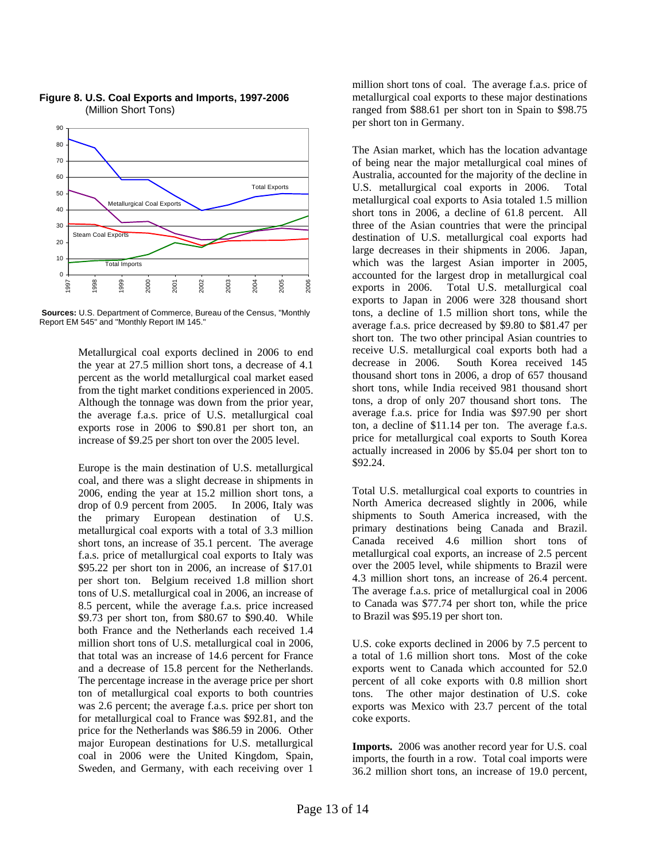

#### **Figure 8. U.S. Coal Exports and Imports, 1997-2006** (Million Short Tons)

 **Sources:** U.S. Department of Commerce, Bureau of the Census, "Monthly Report EM 545" and "Monthly Report IM 145."

Metallurgical coal exports declined in 2006 to end the year at 27.5 million short tons, a decrease of 4.1 percent as the world metallurgical coal market eased from the tight market conditions experienced in 2005. Although the tonnage was down from the prior year, the average f.a.s. price of U.S. metallurgical coal exports rose in 2006 to \$90.81 per short ton, an increase of \$9.25 per short ton over the 2005 level.

Europe is the main destination of U.S. metallurgical coal, and there was a slight decrease in shipments in 2006, ending the year at 15.2 million short tons, a drop of 0.9 percent from 2005. In 2006, Italy was the primary European destination of U.S. metallurgical coal exports with a total of 3.3 million short tons, an increase of 35.1 percent. The average f.a.s. price of metallurgical coal exports to Italy was \$95.22 per short ton in 2006, an increase of \$17.01 per short ton. Belgium received 1.8 million short tons of U.S. metallurgical coal in 2006, an increase of 8.5 percent, while the average f.a.s. price increased \$9.73 per short ton, from \$80.67 to \$90.40. While both France and the Netherlands each received 1.4 million short tons of U.S. metallurgical coal in 2006, that total was an increase of 14.6 percent for France and a decrease of 15.8 percent for the Netherlands. The percentage increase in the average price per short ton of metallurgical coal exports to both countries was 2.6 percent; the average f.a.s. price per short ton for metallurgical coal to France was \$92.81, and the price for the Netherlands was \$86.59 in 2006. Other major European destinations for U.S. metallurgical coal in 2006 were the United Kingdom, Spain, Sweden, and Germany, with each receiving over 1

million short tons of coal. The average f.a.s. price of metallurgical coal exports to these major destinations ranged from \$88.61 per short ton in Spain to \$98.75 per short ton in Germany.

The Asian market, which has the location advantage of being near the major metallurgical coal mines of Australia, accounted for the majority of the decline in U.S. metallurgical coal exports in 2006. Total metallurgical coal exports to Asia totaled 1.5 million short tons in 2006, a decline of 61.8 percent. All three of the Asian countries that were the principal destination of U.S. metallurgical coal exports had large decreases in their shipments in 2006. Japan, which was the largest Asian importer in 2005, accounted for the largest drop in metallurgical coal exports in 2006. Total U.S. metallurgical coal exports to Japan in 2006 were 328 thousand short tons, a decline of 1.5 million short tons, while the average f.a.s. price decreased by \$9.80 to \$81.47 per short ton. The two other principal Asian countries to receive U.S. metallurgical coal exports both had a decrease in 2006. South Korea received 145 thousand short tons in 2006, a drop of 657 thousand short tons, while India received 981 thousand short tons, a drop of only 207 thousand short tons. The average f.a.s. price for India was \$97.90 per short ton, a decline of \$11.14 per ton. The average f.a.s. price for metallurgical coal exports to South Korea actually increased in 2006 by \$5.04 per short ton to \$92.24.

Total U.S. metallurgical coal exports to countries in North America decreased slightly in 2006, while shipments to South America increased, with the primary destinations being Canada and Brazil. Canada received 4.6 million short tons of metallurgical coal exports, an increase of 2.5 percent over the 2005 level, while shipments to Brazil were 4.3 million short tons, an increase of 26.4 percent. The average f.a.s. price of metallurgical coal in 2006 to Canada was \$77.74 per short ton, while the price to Brazil was \$95.19 per short ton.

U.S. coke exports declined in 2006 by 7.5 percent to a total of 1.6 million short tons. Most of the coke exports went to Canada which accounted for 52.0 percent of all coke exports with 0.8 million short tons. The other major destination of U.S. coke exports was Mexico with 23.7 percent of the total coke exports.

**Imports.** 2006 was another record year for U.S. coal imports, the fourth in a row. Total coal imports were 36.2 million short tons, an increase of 19.0 percent,